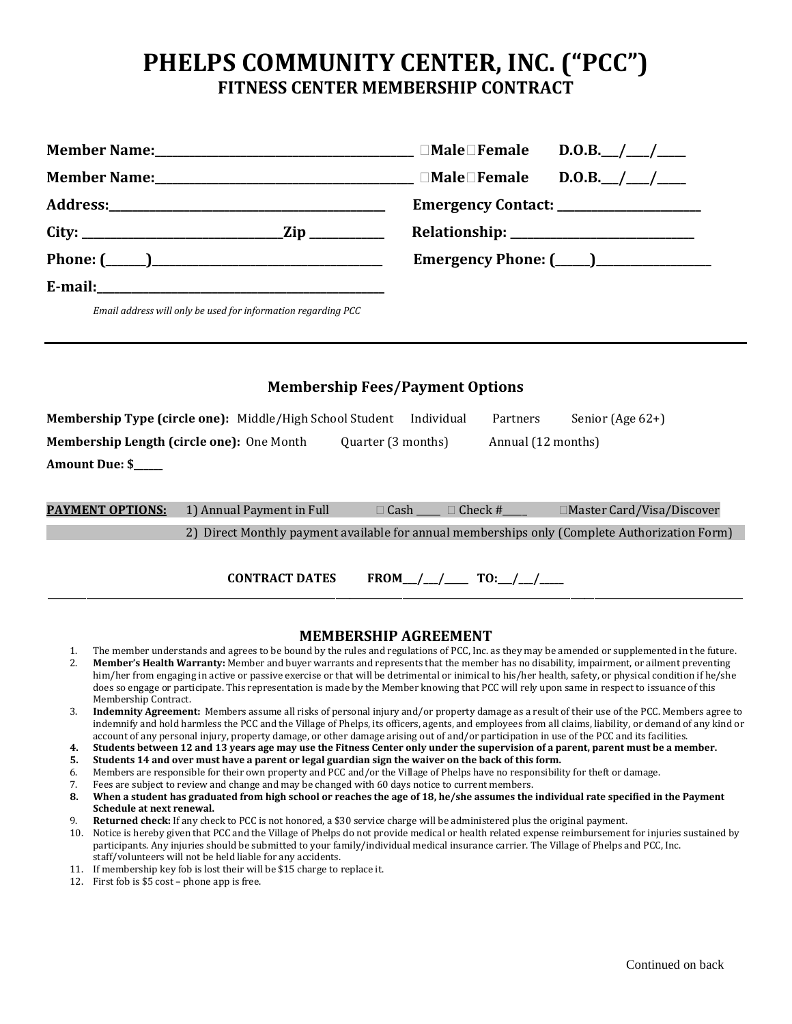## **PHELPS COMMUNITY CENTER, INC. ("PCC") FITNESS CENTER MEMBERSHIP CONTRACT**

| Member Name:___________________________________ □Male□Female D.O.B.__/___/____ |                                                  |
|--------------------------------------------------------------------------------|--------------------------------------------------|
| Member Name:________________________________ □Male□Female D.O.B.__/___/____    |                                                  |
|                                                                                | Emergency Contact: ___________________           |
|                                                                                |                                                  |
| Phone: $(\_\_)$                                                                | <b>Emergency Phone: (____)__________________</b> |
|                                                                                |                                                  |
| Email address will only be used for information regarding PCC                  |                                                  |

| <b>Membership Fees/Payment Options</b>    |                                                          |                    |                            |                    |                                                                                               |  |  |
|-------------------------------------------|----------------------------------------------------------|--------------------|----------------------------|--------------------|-----------------------------------------------------------------------------------------------|--|--|
|                                           | Membership Type (circle one): Middle/High School Student |                    | Individual                 | Partners           | Senior (Age $62+$ )                                                                           |  |  |
| Membership Length (circle one): One Month |                                                          | Quarter (3 months) |                            | Annual (12 months) |                                                                                               |  |  |
| <b>Amount Due: \$</b>                     |                                                          |                    |                            |                    |                                                                                               |  |  |
|                                           |                                                          |                    |                            |                    |                                                                                               |  |  |
| <b>PAYMENT OPTIONS:</b>                   | 1) Annual Payment in Full                                |                    | $\Box$ Cash $\Box$ Check # |                    | $\Box$ Master Card/Visa/Discover                                                              |  |  |
|                                           |                                                          |                    |                            |                    | 2) Direct Monthly payment available for annual memberships only (Complete Authorization Form) |  |  |
|                                           |                                                          |                    |                            |                    |                                                                                               |  |  |
|                                           | <b>CONTRACT DATES</b>                                    |                    |                            |                    |                                                                                               |  |  |

## **MEMBERSHIP AGREEMENT**

- 1. The member understands and agrees to be bound by the rules and regulations of PCC, Inc. as they may be amended or supplemented in the future.<br>**Member's Health Warranty:** Member and buyer warrants and represents that the 2. **Member's Health Warranty:** Member and buyer warrants and represents that the member has no disability, impairment, or ailment preventing
- him/her from engaging in active or passive exercise or that will be detrimental or inimical to his/her health, safety, or physical condition if he/she does so engage or participate. This representation is made by the Member knowing that PCC will rely upon same in respect to issuance of this Membership Contract.
- 3. **Indemnity Agreement:** Members assume all risks of personal injury and/or property damage as a result of their use of the PCC. Members agree to indemnify and hold harmless the PCC and the Village of Phelps, its officers, agents, and employees from all claims, liability, or demand of any kind or account of any personal injury, property damage, or other damage arising out of and/or participation in use of the PCC and its facilities.
- **4. Students between 12 and 13 years age may use the Fitness Center only under the supervision of a parent, parent must be a member.**
- **5. Students 14 and over must have a parent or legal guardian sign the waiver on the back of this form.**
- 6. Members are responsible for their own property and PCC and/or the Village of Phelps have no responsibility for theft or damage.
- 7. Fees are subject to review and change and may be changed with 60 days notice to current members.
- **8. When a student has graduated from high school or reaches the age of 18, he/she assumes the individual rate specified in the Payment Schedule at next renewal.**
- 9. **Returned check:** If any check to PCC is not honored, a \$30 service charge will be administered plus the original payment.
- 10. Notice is hereby given that PCC and the Village of Phelps do not provide medical or health related expense reimbursement for injuries sustained by participants. Any injuries should be submitted to your family/individual medical insurance carrier. The Village of Phelps and PCC, Inc. staff/volunteers will not be held liable for any accidents.
- 11. If membership key fob is lost their will be \$15 charge to replace it.
- 12. First fob is \$5 cost phone app is free.